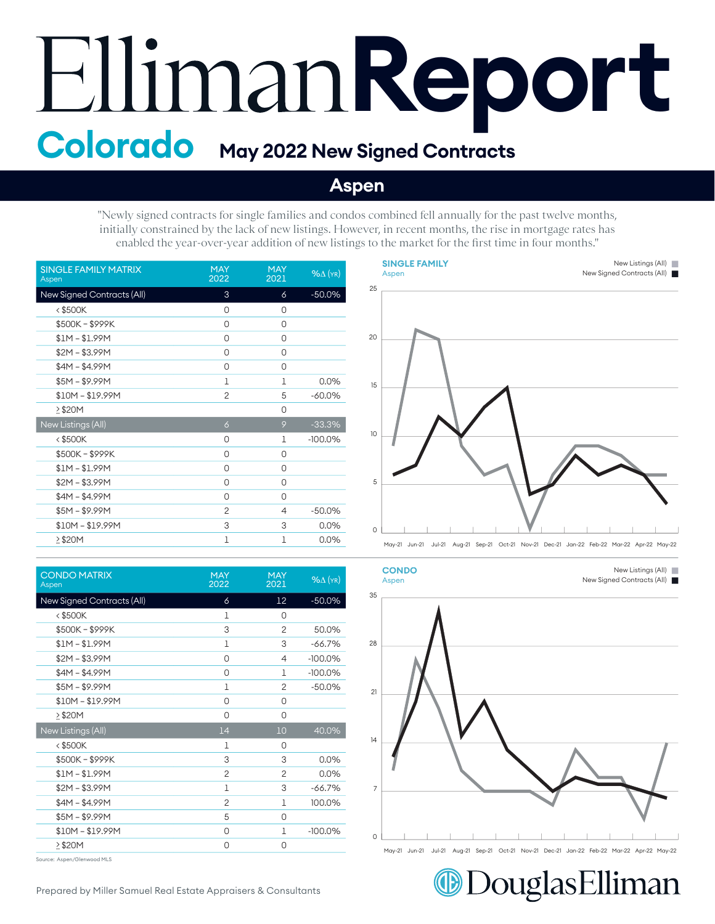## Elliman Report

## **Aspen**

"Newly signed contracts for single families and condos combined fell annually for the past twelve months, initially constrained by the lack of new listings. However, in recent months, the rise in mortgage rates has enabled the year-over-year addition of new listings to the market for the first time in four months."

| <b>SINGLE FAMILY MATRIX</b><br>Aspen | <b>MAY</b><br>2022 | <b>MAY</b><br>2021 | $%$ $\Delta$ (YR) |
|--------------------------------------|--------------------|--------------------|-------------------|
| New Signed Contracts (All)           | 3                  | 6                  | $-50.0%$          |
| $<$ \$500K                           | 0                  | 0                  |                   |
| \$500K-\$999K                        | 0                  | 0                  |                   |
| $$1M - $1.99M$                       | 0                  | 0                  |                   |
| $$2M - $3.99M$                       | 0                  | 0                  |                   |
| $$4M - $4.99M$                       | 0                  | 0                  |                   |
| $$5M - $9.99M$                       | 1                  | 1                  | 0.0%              |
| $$10M - $19.99M$                     | $\overline{2}$     | 5                  | $-60.0\%$         |
| >\$20M                               |                    | 0                  |                   |
| New Listings (All)                   | $\delta$           | 9                  | $-33.3%$          |
| $<$ \$500K                           | 0                  | 1                  | $-100.0%$         |
| \$500K-\$999K                        | 0                  | 0                  |                   |
| $$1M - $1.99M$                       | 0                  | 0                  |                   |
| $$2M - $3.99M$                       | 0                  | O                  |                   |
| $$4M - $4.99M$                       | 0                  | 0                  |                   |
| $$5M - $9.99M$                       | $\overline{2}$     | $\overline{4}$     | $-50.0%$          |
| $$10M - $19.99M$                     | 3                  | 3                  | 0.0%              |
| $\geq$ \$20M                         | 1                  | 1                  | 0.0%              |

| <b>CONDO MATRIX</b><br>Aspen | <b>MAY</b><br>2022 | <b>MAY</b><br>2021 | $%$ $\Delta$ (YR) |
|------------------------------|--------------------|--------------------|-------------------|
| New Signed Contracts (All)   | 6                  | 12                 | $-50.0%$          |
| $<$ \$500K                   | 1                  | 0                  |                   |
| \$500K-\$999K                | 3                  | $\overline{2}$     | 50.0%             |
| $$1M - $1.99M$               | 1                  | 3                  | $-66.7%$          |
| $$2M - $3.99M$               | 0                  | 4                  | $-100.0%$         |
| $$4M - $4.99M$               | 0                  | 1                  | $-100.0%$         |
| $$5M - $9.99M$               | $\mathbf{1}$       | 2                  | $-50.0%$          |
| $$10M - $19.99M$             | 0                  | 0                  |                   |
| $\geq$ \$20M                 | 0                  | 0                  |                   |
| New Listings (All)           | 14                 | 10                 | 40.0%             |
| $<$ \$500K                   | 1                  | 0                  |                   |
| \$500K-\$999K                | 3                  | 3                  | 0.0%              |
| $$1M - $1.99M$               | $\overline{c}$     | $\overline{2}$     | 0.0%              |
| $$2M - $3.99M$               | $\mathbf{1}$       | 3                  | $-66.7%$          |
| $$4M - $4.99M$               | $\overline{2}$     | 1                  | 100.0%            |
| $$5M - $9.99M$               | 5                  | 0                  |                   |
| $$10M - $19.99M$             | 0                  | 1                  | $-100.0%$         |
| $\geq$ \$20M                 | 0                  | 0                  |                   |
|                              |                    |                    |                   |

Source: Aspen/Glenwood MLS





New Listings (All) New Listings (All) New Signed Contracts (All) New Signed Contracts (All)

DouglasElliman